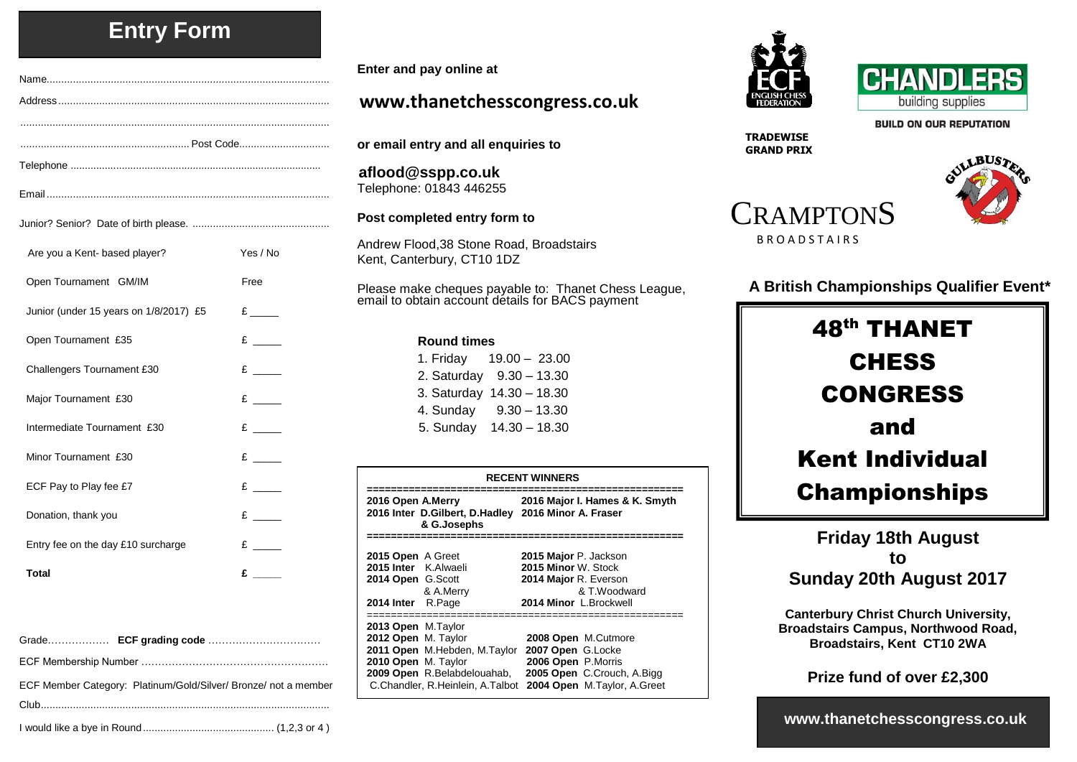# **Entry Form**

|                                                                 |                    | Enter and pay online at                                                                                                                                                                                                      |  |  |
|-----------------------------------------------------------------|--------------------|------------------------------------------------------------------------------------------------------------------------------------------------------------------------------------------------------------------------------|--|--|
|                                                                 |                    | www.thanetchesscongress.co.uk                                                                                                                                                                                                |  |  |
|                                                                 |                    | or email entry and all enquiries to                                                                                                                                                                                          |  |  |
|                                                                 |                    | aflood@sspp.co.uk<br>Telephone: 01843 446255                                                                                                                                                                                 |  |  |
|                                                                 |                    | Post completed entry form to                                                                                                                                                                                                 |  |  |
| Are you a Kent-based player?                                    | Yes / No           | Andrew Flood, 38 Stone Road, Broadstairs<br>Kent, Canterbury, CT10 1DZ                                                                                                                                                       |  |  |
| Open Tournament GM/IM                                           | Free               | Please make cheques payable to: Thanet Chess League,                                                                                                                                                                         |  |  |
| Junior (under 15 years on 1/8/2017) £5                          | $E$ and $E$        | email to obtain account details for BACS payment                                                                                                                                                                             |  |  |
| Open Tournament £35                                             | $E$ $\qquad$       | <b>Round times</b>                                                                                                                                                                                                           |  |  |
| Challengers Tournament £30                                      |                    | 1. Friday<br>$19.00 - 23.00$<br>2. Saturday 9.30 - 13.30                                                                                                                                                                     |  |  |
| Major Tournament £30                                            | E                  | 3. Saturday 14.30 - 18.30<br>4. Sunday 9.30 - 13.30                                                                                                                                                                          |  |  |
| Intermediate Tournament £30                                     | $E$ <sub>___</sub> | 5. Sunday 14.30 - 18.30                                                                                                                                                                                                      |  |  |
| Minor Tournament £30                                            |                    |                                                                                                                                                                                                                              |  |  |
| ECF Pay to Play fee £7                                          | $E$ <sub>___</sub> | <b>RECENT WINNERS</b><br>==============================                                                                                                                                                                      |  |  |
| Donation, thank you                                             | $E$ $\qquad$       | 2016 Major I. Hames & K. Smyth<br>2016 Open A.Merry<br>2016 Inter D.Gilbert, D.Hadley 2016 Minor A. Fraser<br>& G.Josephs                                                                                                    |  |  |
| Entry fee on the day £10 surcharge                              |                    | 2015 Open A Greet<br>2015 Major P. Jackson                                                                                                                                                                                   |  |  |
| <b>Total</b>                                                    | $\epsilon$         | 2015 Inter K.Alwaeli<br>2015 Minor W. Stock<br>2014 Open G.Scott<br>2014 Major R. Everson<br>& A.Merry<br>& T.Woodward<br>2014 Inter R.Page<br>2014 Minor L.Brockwell                                                        |  |  |
|                                                                 |                    | 2013 Open M.Taylor<br>2012 Open M. Taylor<br>2008 Open M.Cutmore<br>2011 Open M.Hebden, M.Taylor 2007 Open G.Locke<br>2010 Open M. Taylor<br>2006 Open P.Morris<br>2009 Open R.Belabdelouahab,<br>2005 Open C.Crouch, A.Bigg |  |  |
| ECF Member Category: Platinum/Gold/Silver/ Bronze/ not a member |                    | C.Chandler, R.Heinlein, A.Talbot 2004 Open M.Taylor, A.Greet                                                                                                                                                                 |  |  |

I would like a bye in Round............................................. (1,2,3 or 4 )

**CHANDLERS** building supplies

**BUILD ON OUR REPUTATION** 

 **TRADEWISE GRAND PRIX**

**CRAMPTONS** 



B R O A D S T A I R S

<sup>C</sup>**A British Championships Qualifier Event\***

# 48th THANET CHESS CONGRESS and Kent Individual Championships

**Friday 18th August to Sunday 20th August 2017**

**Canterbury Christ Church University, Broadstairs Campus, Northwood Road, Broadstairs, Kent CT10 2WA**

**Prize fund of over £2,300**

**www.thanetchesscongress.co.uk**